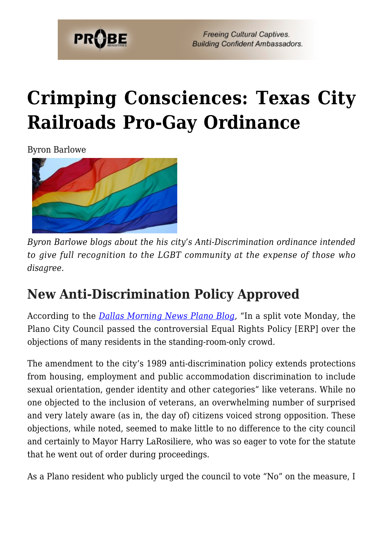

**Freeing Cultural Captives. Building Confident Ambassadors.** 

# **[Crimping Consciences: Texas City](https://probe.org/crimping-consciences-texas-city-railroads-pro-gay-ordinance/) [Railroads Pro-Gay Ordinance](https://probe.org/crimping-consciences-texas-city-railroads-pro-gay-ordinance/)**

Byron Barlowe



*Byron Barlowe blogs about the his city's Anti-Discrimination ordinance intended to give full recognition to the LGBT community at the expense of those who disagree.*

### **New Anti-Discrimination Policy Approved**

According to the *[Dallas Morning News Plano Blog](http://planoblog.dallasnews.com/2014/12/plano-approves-controversial-equal-rights-policy.html/)*, "In a split vote Monday, the Plano City Council passed the controversial Equal Rights Policy [ERP] over the objections of many residents in the standing-room-only crowd.

The amendment to the city's 1989 anti-discrimination policy extends protections from housing, employment and public accommodation discrimination to include sexual orientation, gender identity and other categories" like veterans. While no one objected to the inclusion of veterans, an overwhelming number of surprised and very lately aware (as in, the day of) citizens voiced strong opposition. These objections, while noted, seemed to make little to no difference to the city council and certainly to Mayor Harry LaRosiliere, who was so eager to vote for the statute that he went out of order during proceedings.

As a Plano resident who publicly urged the council to vote "No" on the measure, I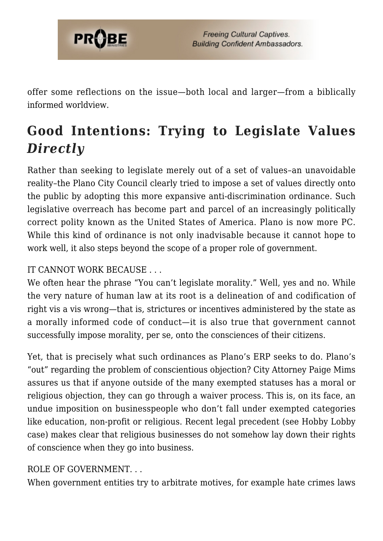

offer some reflections on the issue—both local and larger—from a biblically informed worldview.

# **Good Intentions: Trying to Legislate Values** *Directly*

Rather than seeking to legislate merely out of a set of values–an unavoidable reality–the Plano City Council clearly tried to impose a set of values directly onto the public by adopting this more expansive anti-discrimination ordinance. Such legislative overreach has become part and parcel of an increasingly politically correct polity known as the United States of America. Plano is now more PC. While this kind of ordinance is not only inadvisable because it cannot hope to work well, it also steps beyond the scope of a proper role of government.

#### IT CANNOT WORK BECAUSE . . .

We often hear the phrase "You can't legislate morality." Well, yes and no. While the very nature of human law at its root is a delineation of and codification of right vis a vis wrong—that is, strictures or incentives administered by the state as a morally informed code of conduct—it is also true that government cannot successfully impose morality, per se, onto the consciences of their citizens.

Yet, that is precisely what such ordinances as Plano's ERP seeks to do. Plano's "out" regarding the problem of conscientious objection? City Attorney Paige Mims assures us that if anyone outside of the many exempted statuses has a moral or religious objection, they can go through a waiver process. This is, on its face, an undue imposition on businesspeople who don't fall under exempted categories like education, non-profit or religious. Recent legal precedent (see Hobby Lobby case) makes clear that religious businesses do not somehow lay down their rights of conscience when they go into business.

#### ROLE OF GOVERNMENT. . .

When government entities try to arbitrate motives, for example hate crimes laws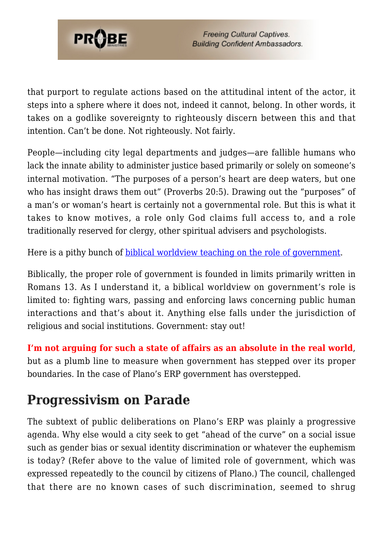

that purport to regulate actions based on the attitudinal intent of the actor, it steps into a sphere where it does not, indeed it cannot, belong. In other words, it takes on a godlike sovereignty to righteously discern between this and that intention. Can't be done. Not righteously. Not fairly.

People—including city legal departments and judges—are fallible humans who lack the innate ability to administer justice based primarily or solely on someone's internal motivation. "The purposes of a person's heart are deep waters, but one who has insight draws them out" (Proverbs 20:5). Drawing out the "purposes" of a man's or woman's heart is certainly not a governmental role. But this is what it takes to know motives, a role only God claims full access to, and a role traditionally reserved for clergy, other spiritual advisers and psychologists.

Here is a pithy bunch of **[biblical worldview teaching on the role of government](http://www.ministeriosprobe.org/MGManual/Politics/Gov1.htm#pt1)**.

Biblically, the proper role of government is founded in limits primarily written in Romans 13. As I understand it, a biblical worldview on government's role is limited to: fighting wars, passing and enforcing laws concerning public human interactions and that's about it. Anything else falls under the jurisdiction of religious and social institutions. Government: stay out!

**I'm not arguing for such a state of affairs as an absolute in the real world**, but as a plumb line to measure when government has stepped over its proper boundaries. In the case of Plano's ERP government has overstepped.

#### **Progressivism on Parade**

The subtext of public deliberations on Plano's ERP was plainly a progressive agenda. Why else would a city seek to get "ahead of the curve" on a social issue such as gender bias or sexual identity discrimination or whatever the euphemism is today? (Refer above to the value of limited role of government, which was expressed repeatedly to the council by citizens of Plano.) The council, challenged that there are no known cases of such discrimination, seemed to shrug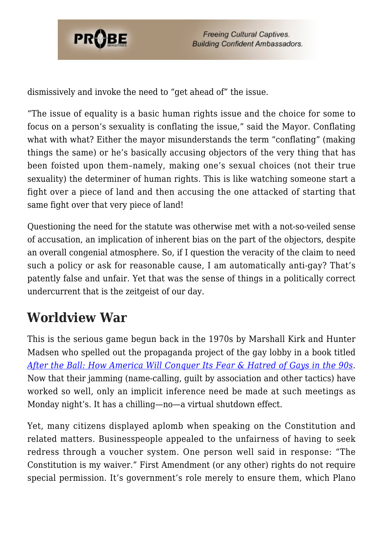

dismissively and invoke the need to "get ahead of" the issue.

"The issue of equality is a basic human rights issue and the choice for some to focus on a person's sexuality is conflating the issue," said the Mayor. Conflating what with what? Either the mayor misunderstands the term "conflating" (making things the same) or he's basically accusing objectors of the very thing that has been foisted upon them–namely, making one's sexual choices (not their true sexuality) the determiner of human rights. This is like watching someone start a fight over a piece of land and then accusing the one attacked of starting that same fight over that very piece of land!

Questioning the need for the statute was otherwise met with a not-so-veiled sense of accusation, an implication of inherent bias on the part of the objectors, despite an overall congenial atmosphere. So, if I question the veracity of the claim to need such a policy or ask for reasonable cause, I am automatically anti-gay? That's patently false and unfair. Yet that was the sense of things in a politically correct undercurrent that is the zeitgeist of our day.

### **Worldview War**

This is the serious game begun back in the 1970s by Marshall Kirk and Hunter Madsen who spelled out the propaganda project of the gay lobby in a book titled *[After the Ball: How America Will Conquer Its Fear & Hatred of Gays in the 90s](https://www.lifesitenews.com/opinion/the-six-ways-homosexual-activists-manipulate-public-opinion)*. Now that their jamming (name-calling, guilt by association and other tactics) have worked so well, only an implicit inference need be made at such meetings as Monday night's. It has a chilling—no—a virtual shutdown effect.

Yet, many citizens displayed aplomb when speaking on the Constitution and related matters. Businesspeople appealed to the unfairness of having to seek redress through a voucher system. One person well said in response: "The Constitution is my waiver." First Amendment (or any other) rights do not require special permission. It's government's role merely to ensure them, which Plano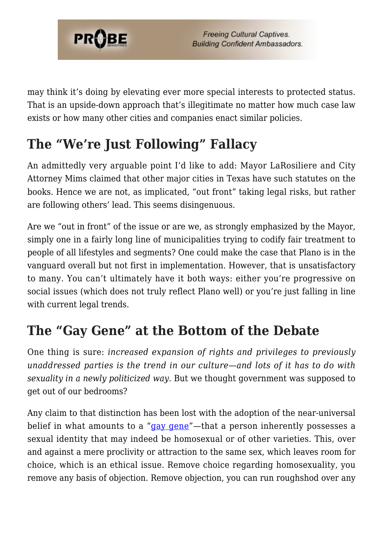

may think it's doing by elevating ever more special interests to protected status. That is an upside-down approach that's illegitimate no matter how much case law exists or how many other cities and companies enact similar policies.

# **The "We're Just Following" Fallacy**

An admittedly very arguable point I'd like to add: Mayor LaRosiliere and City Attorney Mims claimed that other major cities in Texas have such statutes on the books. Hence we are not, as implicated, "out front" taking legal risks, but rather are following others' lead. This seems disingenuous.

Are we "out in front" of the issue or are we, as strongly emphasized by the Mayor, simply one in a fairly long line of municipalities trying to codify fair treatment to people of all lifestyles and segments? One could make the case that Plano is in the vanguard overall but not first in implementation. However, that is unsatisfactory to many. You can't ultimately have it both ways: either you're progressive on social issues (which does not truly reflect Plano well) or you're just falling in line with current legal trends.

### **The "Gay Gene" at the Bottom of the Debate**

One thing is sure: *increased expansion of rights and privileges to previously unaddressed parties is the trend in our culture—and lots of it has to do with sexuality in a newly politicized way*. But we thought government was supposed to get out of our bedrooms?

Any claim to that distinction has been lost with the adoption of the near-universal belief in what amounts to a "[gay gene"](http://www.orthodoxytoday.org/blog/2013/06/identical-twin-studies-prove-homosexuality-is-not-genetic)—that a person inherently possesses a sexual identity that may indeed be homosexual or of other varieties. This, over and against a mere proclivity or attraction to the same sex, which leaves room for choice, which is an ethical issue. Remove choice regarding homosexuality, you remove any basis of objection. Remove objection, you can run roughshod over any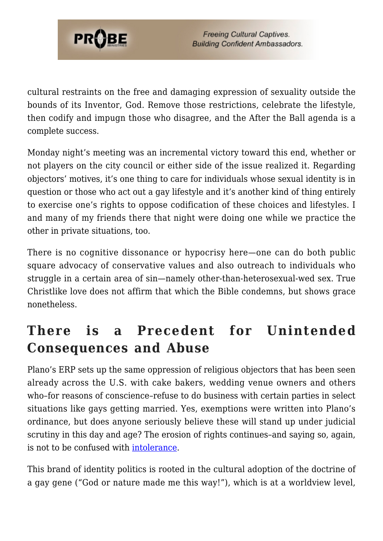

cultural restraints on the free and damaging expression of sexuality outside the bounds of its Inventor, God. Remove those restrictions, celebrate the lifestyle, then codify and impugn those who disagree, and the After the Ball agenda is a complete success.

Monday night's meeting was an incremental victory toward this end, whether or not players on the city council or either side of the issue realized it. Regarding objectors' motives, it's one thing to care for individuals whose sexual identity is in question or those who act out a gay lifestyle and it's another kind of thing entirely to exercise one's rights to oppose codification of these choices and lifestyles. I and many of my friends there that night were doing one while we practice the other in private situations, too.

There is no cognitive dissonance or hypocrisy here—one can do both public square advocacy of conservative values and also outreach to individuals who struggle in a certain area of sin—namely other-than-heterosexual-wed sex. True Christlike love does not affirm that which the Bible condemns, but shows grace nonetheless.

### **There is a Precedent for Unintended Consequences and Abuse**

Plano's ERP sets up the same oppression of religious objectors that has been seen already across the U.S. with cake bakers, wedding venue owners and others who–for reasons of conscience–refuse to do business with certain parties in select situations like gays getting married. Yes, exemptions were written into Plano's ordinance, but does anyone seriously believe these will stand up under judicial scrutiny in this day and age? The erosion of rights continues–and saying so, again, is not to be confused with [intolerance](https://www.probe.org/you-promote-hate-and-intolerance/).

This brand of identity politics is rooted in the cultural adoption of the doctrine of a gay gene ("God or nature made me this way!"), which is at a worldview level,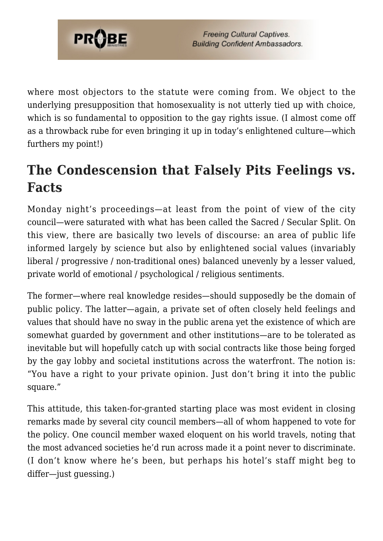

where most objectors to the statute were coming from. We object to the underlying presupposition that homosexuality is not utterly tied up with choice, which is so fundamental to opposition to the gay rights issue. (I almost come off as a throwback rube for even bringing it up in today's enlightened culture—which furthers my point!)

# **The Condescension that Falsely Pits Feelings vs. Facts**

Monday night's proceedings—at least from the point of view of the city council—were saturated with what has been called the Sacred / Secular Split. On this view, there are basically two levels of discourse: an area of public life informed largely by science but also by enlightened social values (invariably liberal / progressive / non-traditional ones) balanced unevenly by a lesser valued, private world of emotional / psychological / religious sentiments.

The former—where real knowledge resides—should supposedly be the domain of public policy. The latter—again, a private set of often closely held feelings and values that should have no sway in the public arena yet the existence of which are somewhat guarded by government and other institutions—are to be tolerated as inevitable but will hopefully catch up with social contracts like those being forged by the gay lobby and societal institutions across the waterfront. The notion is: "You have a right to your private opinion. Just don't bring it into the public square."

This attitude, this taken-for-granted starting place was most evident in closing remarks made by several city council members—all of whom happened to vote for the policy. One council member waxed eloquent on his world travels, noting that the most advanced societies he'd run across made it a point never to discriminate. (I don't know where he's been, but perhaps his hotel's staff might beg to differ—just guessing.)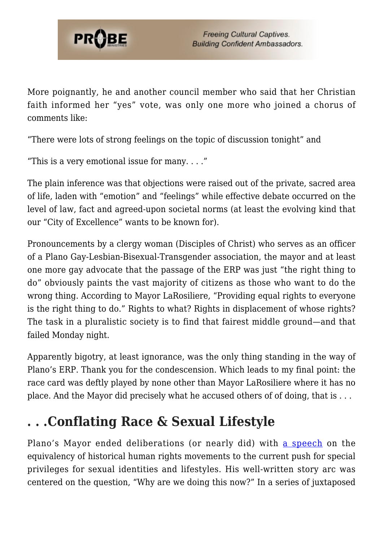

More poignantly, he and another council member who said that her Christian faith informed her "yes" vote, was only one more who joined a chorus of comments like:

"There were lots of strong feelings on the topic of discussion tonight" and

"This is a very emotional issue for many.  $\dots$ "

The plain inference was that objections were raised out of the private, sacred area of life, laden with "emotion" and "feelings" while effective debate occurred on the level of law, fact and agreed-upon societal norms (at least the evolving kind that our "City of Excellence" wants to be known for).

Pronouncements by a clergy woman (Disciples of Christ) who serves as an officer of a Plano Gay-Lesbian-Bisexual-Transgender association, the mayor and at least one more gay advocate that the passage of the ERP was just "the right thing to do" obviously paints the vast majority of citizens as those who want to do the wrong thing. According to Mayor LaRosiliere, "Providing equal rights to everyone is the right thing to do." Rights to what? Rights in displacement of whose rights? The task in a pluralistic society is to find that fairest middle ground—and that failed Monday night.

Apparently bigotry, at least ignorance, was the only thing standing in the way of Plano's ERP. Thank you for the condescension. Which leads to my final point: the race card was deftly played by none other than Mayor LaRosiliere where it has no place. And the Mayor did precisely what he accused others of of doing, that is . . .

#### **. . .Conflating Race & Sexual Lifestyle**

Plano's Mayor ended deliberations (or nearly did) with [a speech](http://planotx.swagit.com/play/12082014-1248) on the equivalency of historical human rights movements to the current push for special privileges for sexual identities and lifestyles. His well-written story arc was centered on the question, "Why are we doing this now?" In a series of juxtaposed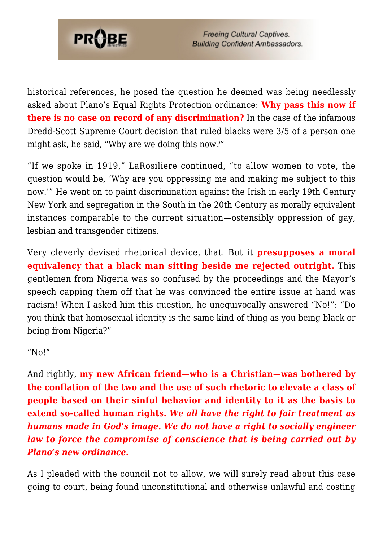

**Freeing Cultural Captives. Building Confident Ambassadors.** 

historical references, he posed the question he deemed was being needlessly asked about Plano's Equal Rights Protection ordinance: **Why pass this now if there is no case on record of any discrimination?** In the case of the infamous Dredd-Scott Supreme Court decision that ruled blacks were 3/5 of a person one might ask, he said, "Why are we doing this now?"

"If we spoke in 1919," LaRosiliere continued, "to allow women to vote, the question would be, 'Why are you oppressing me and making me subject to this now.'" He went on to paint discrimination against the Irish in early 19th Century New York and segregation in the South in the 20th Century as morally equivalent instances comparable to the current situation—ostensibly oppression of gay, lesbian and transgender citizens.

Very cleverly devised rhetorical device, that. But it **presupposes a moral equivalency that a black man sitting beside me rejected outright.** This gentlemen from Nigeria was so confused by the proceedings and the Mayor's speech capping them off that he was convinced the entire issue at hand was racism! When I asked him this question, he unequivocally answered "No!": "Do you think that homosexual identity is the same kind of thing as you being black or being from Nigeria?"

"No!"

And rightly, **my new African friend—who is a Christian—was bothered by the conflation of the two and the use of such rhetoric to elevate a class of people based on their sinful behavior and identity to it as the basis to extend so-called human rights.** *We all have the right to fair treatment as humans made in God's image. We do not have a right to socially engineer law to force the compromise of conscience that is being carried out by Plano's new ordinance.*

As I pleaded with the council not to allow, we will surely read about this case going to court, being found unconstitutional and otherwise unlawful and costing